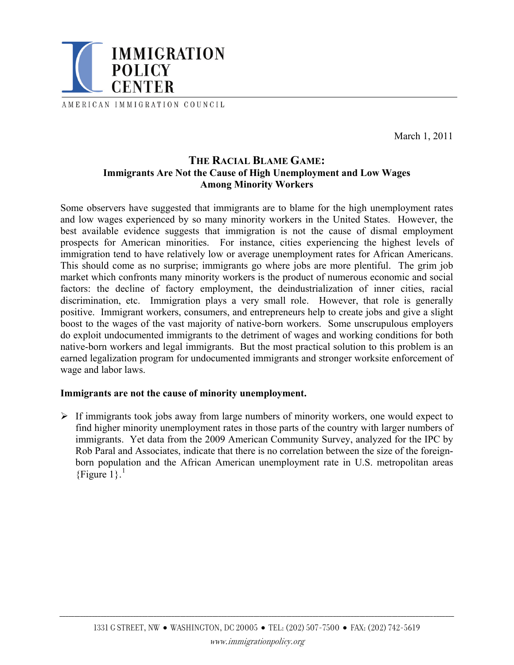

AMERICAN IMMIGRATION COUNCIL

March 1, 2011

# **THE RACIAL BLAME GAME: Immigrants Are Not the Cause of High Unemployment and Low Wages Among Minority Workers**

Some observers have suggested that immigrants are to blame for the high unemployment rates and low wages experienced by so many minority workers in the United States. However, the best available evidence suggests that immigration is not the cause of dismal employment prospects for American minorities. For instance, cities experiencing the highest levels of immigration tend to have relatively low or average unemployment rates for African Americans. This should come as no surprise; immigrants go where jobs are more plentiful. The grim job market which confronts many minority workers is the product of numerous economic and social factors: the decline of factory employment, the deindustrialization of inner cities, racial discrimination, etc. Immigration plays a very small role. However, that role is generally positive. Immigrant workers, consumers, and entrepreneurs help to create jobs and give a slight boost to the wages of the vast majority of native-born workers. Some unscrupulous employers do exploit undocumented immigrants to the detriment of wages and working conditions for both native-born workers and legal immigrants. But the most practical solution to this problem is an earned legalization program for undocumented immigrants and stronger worksite enforcement of wage and labor laws.

### **Immigrants are not the cause of minority unemployment.**

 $\triangleright$  If immigrants took jobs away from large numbers of minority workers, one would expect to find higher minority unemployment rates in those parts of the country with larger numbers of immigrants. Yet data from the 2009 American Community Survey, analyzed for the IPC by Rob Paral and Associates, indicate that there is no correlation between the size of the foreignborn population and the African American unemployment rate in U.S. metropolitan areas {Figure  $1$ }.<sup>1</sup>

\_\_\_\_\_\_\_\_\_\_\_\_\_\_\_\_\_\_\_\_\_\_\_\_\_\_\_\_\_\_\_\_\_\_\_\_\_\_\_\_\_\_\_\_\_\_\_\_\_\_\_\_\_\_\_\_\_\_\_\_\_\_\_\_\_\_\_\_\_\_\_\_\_\_\_\_\_\_\_\_\_\_\_\_\_\_\_\_\_\_\_\_\_\_\_\_\_\_\_\_\_\_\_\_\_\_\_\_\_\_\_\_\_\_\_\_\_\_\_\_\_\_\_\_\_\_\_\_\_\_\_\_\_\_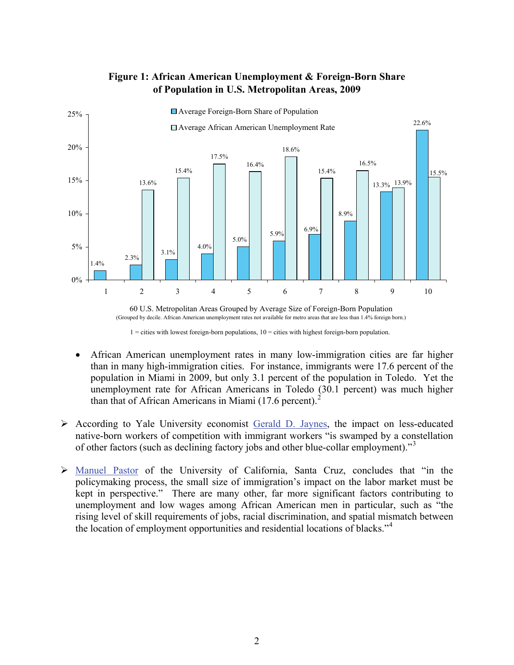

## **Figure 1: African American Unemployment & Foreign-Born Share of Population in U.S. Metropolitan Areas, 2009**



 $1 =$  cities with lowest foreign-born populations,  $10 =$  cities with highest foreign-born population.

- African American unemployment rates in many low-immigration cities are far higher than in many high-immigration cities. For instance, immigrants were 17.6 percent of the population in Miami in 2009, but only 3.1 percent of the population in Toledo. Yet the unemployment rate for African Americans in Toledo (30.1 percent) was much higher than that of African Americans in Miami  $(17.6 \text{ percent})$ .
- $\triangleright$  According to Yale University economist [Gerald D. Jaynes,](http://www.immigrationpolicy.org/sites/default/files/docs/Gerald Jaynes 071409.pdf#page=5) the impact on less-educated native-born workers of competition with immigrant workers "is swamped by a constellation of other factors (such as declining factory jobs and other blue-collar employment)."<sup>[3](#page-3-1)</sup>
- ¾ [Manuel Pastor](http://www.jointcenter.org/index.php/content/download/681/4285/file/SeptOct06.pdf) of the University of California, Santa Cruz, concludes that "in the policymaking process, the small size of immigration's impact on the labor market must be kept in perspective." There are many other, far more significant factors contributing to unemployment and low wages among African American men in particular, such as "the rising level of skill requirements of jobs, racial discrimination, and spatial mismatch between the location of employment opportunities and residential locations of blacks."[4](#page-3-1)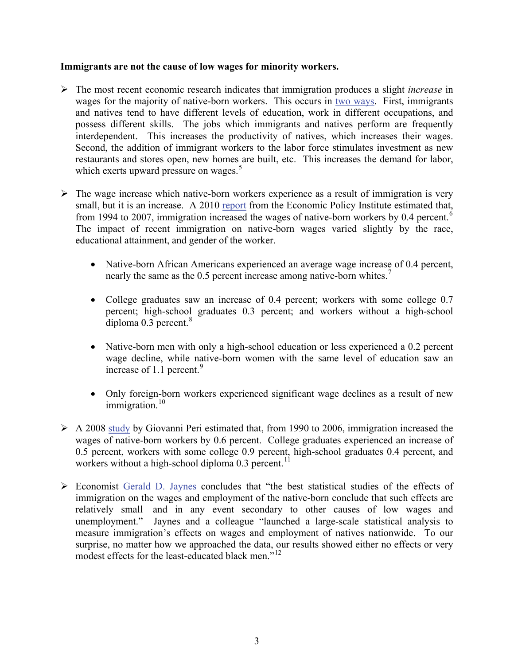### **Immigrants are not the cause of low wages for minority workers.**

- ¾ The most recent economic research indicates that immigration produces a slight *increase* in wages for the majority of native-born workers. This occurs in [two ways](http://www.immigrationpolicy.org/sites/default/files/docs/IPC%20Rethinking%20Wages,%2011-2006.pdf). First, immigrants and natives tend to have different levels of education, work in different occupations, and possess different skills. The jobs which immigrants and natives perform are frequently interdependent. This increases the productivity of natives, which increases their wages. Second, the addition of immigrant workers to the labor force stimulates investment as new restaurants and stores open, new homes are built, etc. This increases the demand for labor, which exerts upward pressure on wages. $5$
- $\triangleright$  The wage increase which native-born workers experience as a result of immigration is very small, but it is an increase. A 2010 [report](http://epi.3cdn.net/7de74ee0cd834d87d4_a3m6ba9j0.pdf) from the Economic Policy Institute estimated that, from 1994 to 2007, immigration increased the wages of native-born workers by 0.4 percent.<sup>[6](#page-3-1)</sup> The impact of recent immigration on native-born wages varied slightly by the race, educational attainment, and gender of the worker.
	- Native-born African Americans experienced an average wage increase of 0.4 percent, nearly the same as the 0.5 percent increase among native-born whites.<sup>[7](#page-3-1)</sup>
	- College graduates saw an increase of 0.4 percent; workers with some college 0.7 percent; high-school graduates 0.3 percent; and workers without a high-school diploma  $0.3$  percent. $8$
	- Native-born men with only a high-school education or less experienced a 0.2 percent wage decline, while native-born women with the same level of education saw an increase of 1.1 percent. $9$
	- Only foreign-born workers experienced significant wage declines as a result of new immigration. $10$
- $\triangleright$  A 2008 [study](http://www.nber.org/papers/w14188) by Giovanni Peri estimated that, from 1990 to 2006, immigration increased the wages of native-born workers by 0.6 percent. College graduates experienced an increase of 0.5 percent, workers with some college 0.9 percent, high-school graduates 0.4 percent, and workers without a high-school diploma  $0.3$  percent.<sup>[11](#page-3-1)</sup>
- ¾ Economist [Gerald D. Jaynes](http://www.immigrationpolicy.org/sites/default/files/docs/Gerald Jaynes 071409.pdf#page=4) concludes that "the best statistical studies of the effects of immigration on the wages and employment of the native-born conclude that such effects are relatively small—and in any event secondary to other causes of low wages and unemployment." Jaynes and a colleague "launched a large-scale statistical analysis to measure immigration's effects on wages and employment of natives nationwide. To our surprise, no matter how we approached the data, our results showed either no effects or very modest effects for the least-educated black men."<sup>[12](#page-3-1)</sup>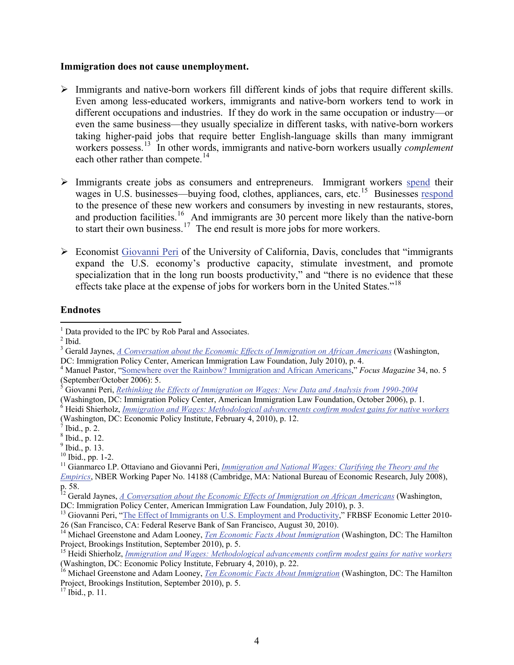#### **Immigration does not cause unemployment.**

- ¾ Immigrants and native-born workers fill different kinds of jobs that require different skills. Even among less-educated workers, immigrants and native-born workers tend to work in different occupations and industries. If they do work in the same occupation or industry—or even the same business—they usually specialize in different tasks, with native-born workers taking higher-paid jobs that require better English-language skills than many immigrant workers possess.[13](#page-3-1) In other words, immigrants and native-born workers usually *complement* each other rather than compete.<sup>[14](#page-3-2)</sup>
- <span id="page-3-1"></span>¾ Immigrants create jobs as consumers and entrepreneurs. Immigrant workers [spend](http://epi.3cdn.net/7de74ee0cd834d87d4_a3m6ba9j0.pdf#page=22) their wages in U.S. businesses—buying food, clothes, appliances, cars, etc.<sup>[15](#page-3-3)</sup> Businesses [respond](http://www.brookings.edu/~/media/Files/rc/reports/2010/09_immigration_greenstone_looney/09_immigration.pdf#page=7) to the presence of these new workers and consumers by investing in new restaurants, stores, and production facilities.<sup>[16](#page-3-4)</sup> And immigrants are 30 percent more likely than the native-born to start their own business.<sup>[17](#page-3-5)</sup> The end result is more jobs for more workers.
- $\triangleright$  Economist [Giovanni Peri](http://www.frbsf.org/publications/economics/letter/2010/el2010-26.html) of the University of California, Davis, concludes that "immigrants" expand the U.S. economy's productive capacity, stimulate investment, and promote specialization that in the long run boosts productivity," and "there is no evidence that these effects take place at the expense of jobs for workers born in the United States."<sup>[18](#page-4-0)</sup>

### **Endnotes**

 $\overline{a}$ <sup>1</sup> Data provided to the IPC by Rob Paral and Associates.

<span id="page-3-0"></span> $<sup>2</sup>$  Ibid.</sup>

<sup>3</sup> Gerald Jaynes, *[A Conversation about the Economic Effects of Immigration on African Americans](http://www.immigrationpolicy.org/sites/default/files/docs/Gerald Jaynes 071409.pdf#page=4)* (Washington,

DC: Immigration Policy Center, American Immigration Law Foundation, July 2010), p. 4.

<sup>4</sup> Manuel Pastor, ["Somewhere over the Rainbow? Immigration and African Americans,](http://www.jointcenter.org/index.php/content/download/681/4285/file/SeptOct06.pdf)" *Focus Magazine* 34, no. 5 (September/October 2006): 5.

<sup>5</sup> Giovanni Peri, *[Rethinking the Effects of Immigration on Wages: New Data and Analysis from 1990-2004](http://www.immigrationpolicy.org/sites/default/files/docs/IPC%20Rethinking%20Wages,%2011-2006.pdf)*

<sup>(</sup>Washington, DC: Immigration Policy Center, American Immigration Law Foundation, October 2006), p. 1.

<sup>6</sup> Heidi Shierholz, *[Immigration and Wages: Methodological advancements confirm modest gains for native workers](http://epi.3cdn.net/7de74ee0cd834d87d4_a3m6ba9j0.pdf#page=12)* (Washington, DC: Economic Policy Institute, February 4, 2010), p. 12.

 $\sqrt{7}$  Ibid., p. 2.

<sup>8</sup> Ibid., p. 12.

 $<sup>9</sup>$  Ibid., p. 13.</sup>

 $10$  Ibid., pp. 1-2.

<sup>&</sup>lt;sup>11</sup> Gianmarco I.P. Ottaviano and Giovanni Peri, *Immigration and National Wages: Clarifying the Theory and the* 

*[Empirics](http://www.nber.org/papers/w14188)*, NBER Working Paper No. 14188 (Cambridge, MA: National Bureau of Economic Research, July 2008), p. 58.

<sup>&</sup>lt;sup>12</sup> Gerald Jaynes, <u>[A Conversation about the Economic Effects of Immigration on African Americans](http://www.immigrationpolicy.org/sites/default/files/docs/Gerald Jaynes 071409.pdf#page=4)</u> (Washington,

DC: Immigration Policy Center, American Immigration Law Foundation, July 2010), p. 3.

<sup>&</sup>lt;sup>13</sup> Giovanni Peri, ["The Effect of Immigrants on U.S. Employment and Productivity,](http://www.frbsf.org/publications/economics/letter/2010/el2010-26.html)" FRBSF Economic Letter 2010-26 (San Francisco, CA: Federal Reserve Bank of San Francisco, August 30, 2010).

<span id="page-3-2"></span><sup>&</sup>lt;sup>14</sup> Michael Greenstone and Adam Looney, *[Ten Economic Facts About Immigration](http://www.brookings.edu/~/media/Files/rc/reports/2010/09_immigration_greenstone_looney/09_immigration.pdf#page=7)* (Washington, DC: The Hamilton Project, Brookings Institution, September 2010), p. 5.

<span id="page-3-3"></span><sup>15</sup> Heidi Shierholz, *[Immigration and Wages: Methodological advancements confirm modest gains for native workers](http://epi.3cdn.net/7de74ee0cd834d87d4_a3m6ba9j0.pdf#page=22)* (Washington, DC: Economic Policy Institute, February 4, 2010), p. 22.

<span id="page-3-4"></span><sup>&</sup>lt;sup>16</sup> Michael Greenstone and Adam Looney, *[Ten Economic Facts About Immigration](http://www.brookings.edu/~/media/Files/rc/reports/2010/09_immigration_greenstone_looney/09_immigration.pdf#page=7)* (Washington, DC: The Hamilton Project, Brookings Institution, September 2010), p. 5.

<span id="page-3-5"></span><sup>17</sup> Ibid., p. 11.